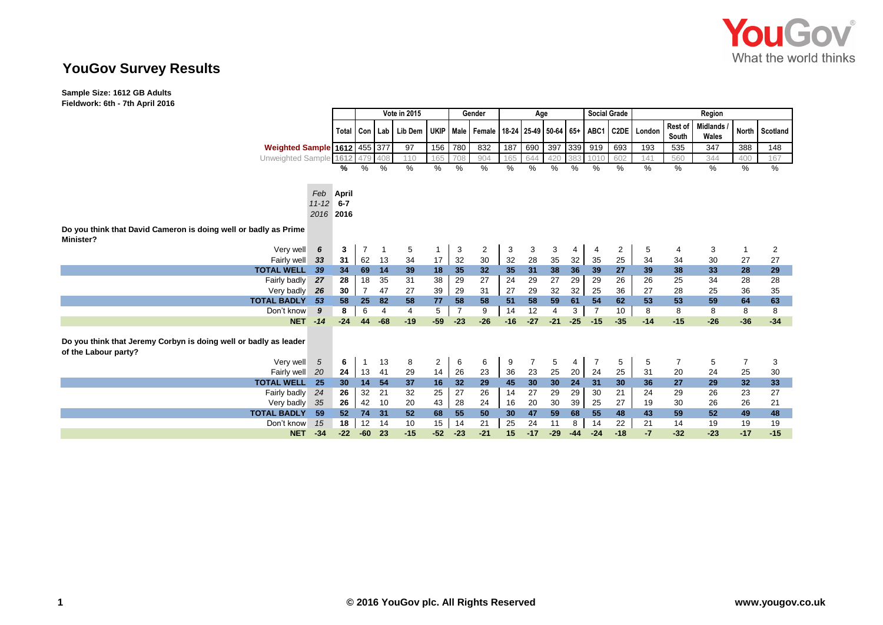

# **YouGov Survey Results**

**Sample Size: 1612 GB Adults Fieldwork: 6th - 7th April 2016**

|                                                                                          |           |                 | Vote in 2015   |               |                             |                |                | Gender                                                           | Age   |       |                |                 | <b>Social Grade</b> |                | Region |                  |                     |              |          |
|------------------------------------------------------------------------------------------|-----------|-----------------|----------------|---------------|-----------------------------|----------------|----------------|------------------------------------------------------------------|-------|-------|----------------|-----------------|---------------------|----------------|--------|------------------|---------------------|--------------|----------|
|                                                                                          |           |                 |                |               | Total   Con   Lab   Lib Dem |                |                | UKIP   Male   Female   18-24   25-49   50-64   65+   ABC1   C2DE |       |       |                |                 |                     |                | London | Rest of<br>South | Midlands /<br>Wales | <b>North</b> | Scotland |
| <b>Weighted Sample 1612 455 377</b>                                                      |           |                 |                |               | 97                          | 156            | 780            | 832                                                              | 187   | 690   | 397            | 339             | 919                 | 693            | 193    | 535              | 347                 | 388          | 148      |
| Unweighted Sample 1612                                                                   |           |                 |                | 408           | 110                         | 165            | 708            | 904                                                              | 165   | 644   | 420            | 383             | 10 <sup>1</sup>     | 602            | 141    | 560              | 344                 | 400          | 167      |
|                                                                                          |           | %               | %              | $\frac{0}{0}$ | $\%$                        | %              | $\%$           | %                                                                | %     | $\%$  | %              | %               | $\frac{0}{0}$       | %              | %      | %                | %                   | $\%$         | %        |
|                                                                                          |           |                 |                |               |                             |                |                |                                                                  |       |       |                |                 |                     |                |        |                  |                     |              |          |
|                                                                                          | Feb       | <b>April</b>    |                |               |                             |                |                |                                                                  |       |       |                |                 |                     |                |        |                  |                     |              |          |
|                                                                                          | $11 - 12$ | $6 - 7$         |                |               |                             |                |                |                                                                  |       |       |                |                 |                     |                |        |                  |                     |              |          |
|                                                                                          | 2016      | 2016            |                |               |                             |                |                |                                                                  |       |       |                |                 |                     |                |        |                  |                     |              |          |
|                                                                                          |           |                 |                |               |                             |                |                |                                                                  |       |       |                |                 |                     |                |        |                  |                     |              |          |
| Do you think that David Cameron is doing well or badly as Prime                          |           |                 |                |               |                             |                |                |                                                                  |       |       |                |                 |                     |                |        |                  |                     |              |          |
| Minister?                                                                                |           |                 |                |               |                             |                |                |                                                                  |       |       |                |                 |                     |                |        |                  |                     |              |          |
| Very well                                                                                | 6         | 3               |                |               | 5                           |                | 3              | $\overline{2}$                                                   | 3     | 3     | 3              | 4               | 4                   | $\overline{2}$ | 5      | 4                | 3                   |              | 2        |
| Fairly well                                                                              | - 33      | 31              | 62             | 13            | 34                          | 17             | 32             | 30                                                               | 32    | 28    | 35             | 32              | 35                  | 25             | 34     | 34               | 30                  | 27           | 27       |
| <b>TOTAL WELL</b>                                                                        | - 39      | 34              | 69             | 14            | 39                          | 18             | 35             | 32                                                               | 35    | 31    | 38             | 36              | 39                  | 27             | 39     | 38               | 33                  | 28           | 29       |
| Fairly badly                                                                             | 27        | 28              | 18             | 35            | 31                          | 38             | 29             | 27                                                               | 24    | 29    | 27             | 29              | 29                  | 26             | 26     | 25               | 34                  | 28           | 28       |
| Very badly                                                                               | -26       | 30              | $\overline{7}$ | 47            | 27                          | 39             | 29             | 31                                                               | 27    | 29    | 32             | 32              | 25                  | 36             | 27     | 28               | 25                  | 36           | 35       |
| <b>TOTAL BADLY</b>                                                                       | 53        | 58              | 25             | 82            | 58                          | 77             | 58             | 58                                                               | 51    | 58    | 59             | 61              | 54                  | 62             | 53     | 53               | 59                  | 64           | 63       |
| Don't know                                                                               | 9         | 8               | 6              | 4             | $\overline{4}$              | 5              | $\overline{7}$ | 9                                                                | 14    | 12    | $\overline{4}$ | 3               | $\overline{7}$      | 10             | 8      | 8                | 8                   | 8            | 8        |
| <b>NET</b>                                                                               | $-14$     | $-24$           | 44             | $-68$         | $-19$                       | $-59$          | $-23$          | $-26$                                                            | $-16$ | $-27$ | $-21$          | $-25$           | $-15$               | $-35$          | $-14$  | $-15$            | $-26$               | $-36$        | $-34$    |
| Do you think that Jeremy Corbyn is doing well or badly as leader<br>of the Labour party? |           |                 |                |               |                             |                |                |                                                                  |       |       |                |                 |                     |                |        |                  |                     |              |          |
| Very well                                                                                | 5         | 6               | -1             | 13            | 8                           | $\overline{2}$ | 6              | 6                                                                | 9     | 7     | 5              | 4               | 7                   | 5              | 5      | 7                | 5                   | 7            | 3        |
| Fairly well                                                                              | 20        | 24              | 13             | 41            | 29                          | 14             | 26             | 23                                                               | 36    | 23    | 25             | 20 <sup>1</sup> | 24                  | 25             | 31     | 20               | 24                  | 25           | 30       |
| <b>TOTAL WELL</b>                                                                        | - 25      | 30 <sup>°</sup> | 14             | 54            | 37                          | 16             | 32             | 29                                                               | 45    | 30    | 30             | 24              | 31                  | 30             | 36     | 27               | 29                  | 32           | 33       |
| Fairly badly                                                                             | 24        | 26              | 32             | 21            | 32                          | 25             | 27             | 26                                                               | 14    | 27    | 29             | 29              | 30                  | 21             | 24     | 29               | 26                  | 23           | 27       |
| Very badly                                                                               | 35        | 26              | 42             | 10            | 20                          | 43             | 28             | 24                                                               | 16    | 20    | 30             | 39              | 25                  | 27             | 19     | 30               | 26                  | 26           | 21       |
| <b>TOTAL BADLY</b>                                                                       | 59        | 52              | 74             | 31            | 52                          | 68             | 55             | 50                                                               | 30    | 47    | 59             | 68              | 55                  | 48             | 43     | 59               | 52                  | 49           | 48       |
| Don't know                                                                               | 15        | 18              | 12             | 14            | 10                          | 15             | 14             | 21                                                               | 25    | 24    | 11             | 8               | 14                  | 22             | 21     | 14               | 19                  | 19           | 19       |
| <b>NET</b>                                                                               | $-34$     | $-22$           | $-60$          | 23            | $-15$                       | $-52$          | $-23$          | $-21$                                                            | 15    | $-17$ | $-29$          | $-44$           | $-24$               | $-18$          | $-7$   | $-32$            | $-23$               | $-17$        | $-15$    |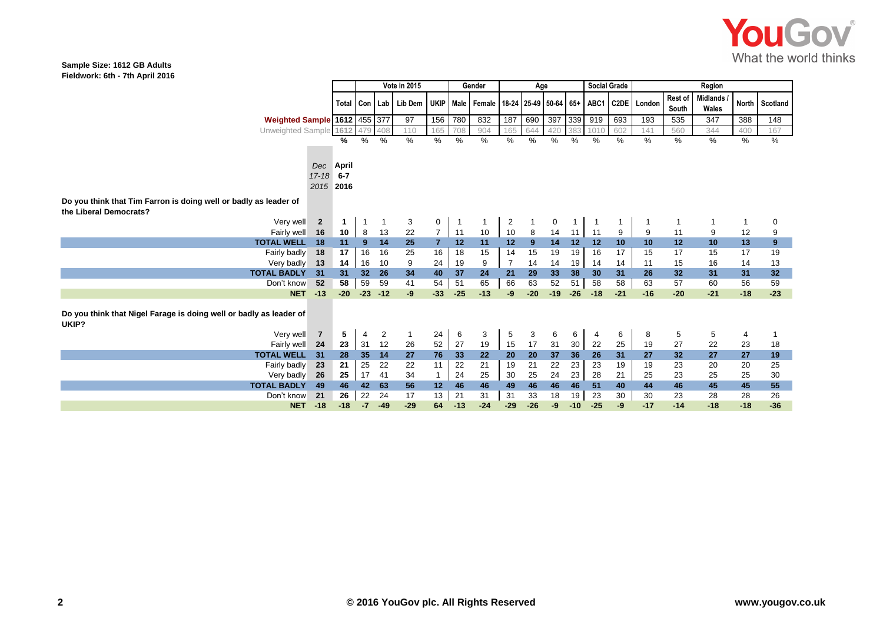

#### **Sample Size: 1612 GB Adults Fieldwork: 6th - 7th April 2016**

|                                                                             |           | Vote in 2015<br>Gender |          |          | Age                              |          |                                                           |                         | <b>Social Grade</b> |          | Region                |          |         |             |                         |                          |              |                 |
|-----------------------------------------------------------------------------|-----------|------------------------|----------|----------|----------------------------------|----------|-----------------------------------------------------------|-------------------------|---------------------|----------|-----------------------|----------|---------|-------------|-------------------------|--------------------------|--------------|-----------------|
|                                                                             | Total     |                        | Con Lab  | Lib Dem  |                                  |          | UKIP   Male   Female   18-24   25-49   50-64   65+   ABC1 |                         |                     |          |                       |          |         | C2DE London | <b>Rest of</b><br>South | <b>Midlands</b><br>Wales | <b>North</b> | Scotland        |
| Weighted Sample 1612 455 377                                                |           |                        |          | 97       | 156                              | 780      | 832                                                       | 187                     | 690                 | 397      | 339                   | 919      | 693     | 193         | 535                     | 347                      | 388          | 148             |
| Unweighted Sample 1612                                                      |           | 479                    | 408      | 110      | 165                              | 708      | 904                                                       | 165                     | 644                 | 420      | 383                   | 1010     | 602     | 141         | 560                     | 344                      | 400          | 167             |
|                                                                             | %         | %                      | %        | %        | $\%$                             | %        | %                                                         | %                       | %                   | %        | %                     | %        | %       | $\%$        | %                       | %                        | %            | $\overline{\%}$ |
|                                                                             |           |                        |          |          |                                  |          |                                                           |                         |                     |          |                       |          |         |             |                         |                          |              |                 |
| Dec                                                                         | April     |                        |          |          |                                  |          |                                                           |                         |                     |          |                       |          |         |             |                         |                          |              |                 |
| $17 - 18$                                                                   | $6 - 7$   |                        |          |          |                                  |          |                                                           |                         |                     |          |                       |          |         |             |                         |                          |              |                 |
|                                                                             | 2015 2016 |                        |          |          |                                  |          |                                                           |                         |                     |          |                       |          |         |             |                         |                          |              |                 |
|                                                                             |           |                        |          |          |                                  |          |                                                           |                         |                     |          |                       |          |         |             |                         |                          |              |                 |
| Do you think that Tim Farron is doing well or badly as leader of            |           |                        |          |          |                                  |          |                                                           |                         |                     |          |                       |          |         |             |                         |                          |              |                 |
| the Liberal Democrats?                                                      |           |                        |          |          |                                  |          |                                                           |                         |                     |          |                       |          |         |             |                         |                          |              |                 |
| Very well<br>$\overline{2}$                                                 | 1         |                        |          | 3        | 0                                |          |                                                           | $\overline{\mathbf{c}}$ |                     | 0        |                       |          |         |             |                         |                          | 1            | 0               |
| Fairly well<br>16<br>18                                                     | 10<br>11  | 8                      | 13<br>14 | 22<br>25 | $\overline{7}$<br>$\overline{7}$ | 11<br>12 | 10<br>11                                                  | 10<br>12                | 8<br>9              | 14<br>14 | 11 <sup>1</sup><br>12 | 11<br>12 | 9<br>10 | 9<br>10     | 11<br>12                | 9<br>10                  | 12           | 9               |
| <b>TOTAL WELL</b><br>Fairly badly<br>18                                     | 17        | $9^{\circ}$<br>16      | 16       | 25       | 16                               | 18       | 15                                                        | 14                      | 15                  | 19       | 19                    | 16       | 17      | 15          | 17                      | 15                       | 13<br>17     | 9<br>19         |
| Very badly                                                                  | 14        | 16                     | 10       | 9        | 24                               | 19       | 9                                                         | $\overline{7}$          | 14                  | 14       | 19                    | 14       | 14      | 11          | 15                      | 16                       | 14           |                 |
| -13<br><b>TOTAL BADLY</b><br>31                                             | 31        | 32                     | 26       | 34       | 40                               | 37       | 24                                                        | 21                      | 29                  | 33       | 38                    | 30       | 31      | 26          | 32                      | 31                       | 31           | 13<br>32        |
| Don't know<br>52                                                            | 58        | 59                     | 59       | 41       | 54                               | 51       | 65                                                        | 66                      | 63                  | 52       | 51                    | 58       | 58      | 63          | 57                      | 60                       | 56           | 59              |
| <b>NET</b><br>$-13$                                                         | $-20$     | $-23$                  | $-12$    | -9       | $-33$                            | $-25$    | $-13$                                                     | -9                      | $-20$               | $-19$    | $-26$                 | $-18$    | $-21$   | $-16$       | $-20$                   | $-21$                    | $-18$        | $-23$           |
|                                                                             |           |                        |          |          |                                  |          |                                                           |                         |                     |          |                       |          |         |             |                         |                          |              |                 |
| Do you think that Nigel Farage is doing well or badly as leader of<br>UKIP? |           |                        |          |          |                                  |          |                                                           |                         |                     |          |                       |          |         |             |                         |                          |              |                 |
| Very well<br>$\overline{7}$                                                 | 5         | 4                      | 2        | -1       | 24                               | 6        | 3                                                         | 5                       | 3                   | 6        | 6                     | 4        | 6       | 8           | 5                       | 5                        | 4            |                 |
| Fairly well<br>24                                                           | 23        | 31                     | 12       | 26       | 52                               | 27       | 19                                                        | 15                      | 17                  | 31       | 30                    | 22       | 25      | 19          | 27                      | 22                       | 23           | 18              |
| <b>TOTAL WELL</b><br>31                                                     | 28        | 35                     | 14       | 27       | 76                               | 33       | 22                                                        | 20                      | 20                  | 37       | 36                    | 26       | 31      | 27          | 32 <sub>2</sub>         | 27                       | 27           | 19              |
| Fairly badly<br>- 23                                                        | 21        | 25                     | 22       | 22       | 11                               | 22       | 21                                                        | 19                      | 21                  | 22       | 23                    | 23       | 19      | 19          | 23                      | 20                       | 20           | 25              |
| Very badly<br>-26                                                           | 25        | 17                     | 41       | 34       | $\mathbf{1}$                     | 24       | 25                                                        | 30                      | 25                  | 24       | 23                    | 28       | 21      | 25          | 23                      | 25                       | 25           | 30              |
| <b>TOTAL BADLY</b><br>49                                                    | 46        | 42                     | 63       | 56       | 12                               | 46       | 46                                                        | 49                      | 46                  | 46       | 46                    | 51       | 40      | 44          | 46                      | 45                       | 45           | 55              |
| 21<br>Don't know                                                            | 26        | 22                     | 24       | 17       | 13                               | 21       | 31                                                        | 31                      | 33                  | 18       | 19                    | 23       | 30      | 30          | 23                      | 28                       | 28           | 26              |
| $-18$<br><b>NET</b>                                                         | $-18$     | $-7$                   | $-49$    | $-29$    | 64                               | $-13$    | $-24$                                                     | $-29$                   | $-26$               | -9       | $-10$                 | $-25$    | $-9$    | $-17$       | $-14$                   | $-18$                    | $-18$        | $-36$           |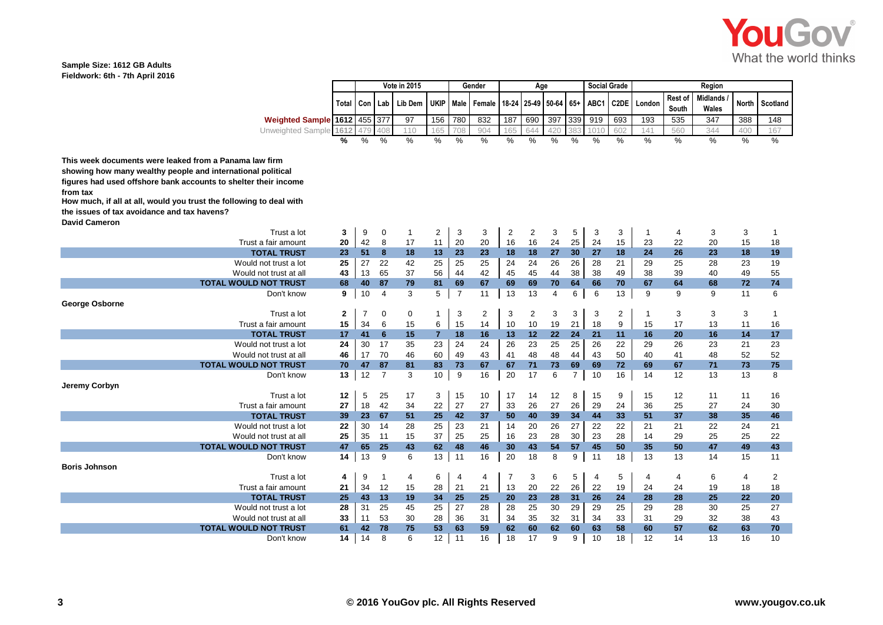

#### **Sample Size: 1612 GB Adults Fieldwork: 6th - 7th April 2016**

|                                                                     |              | <b>Vote in 2015</b><br>Gender |                | Age          |                 |                |                |       | <b>Social Grade</b> | Region      |                |      |                |        |                  |                          |              |                |
|---------------------------------------------------------------------|--------------|-------------------------------|----------------|--------------|-----------------|----------------|----------------|-------|---------------------|-------------|----------------|------|----------------|--------|------------------|--------------------------|--------------|----------------|
|                                                                     | Total        | Con                           | Lab            | Lib Dem      | UKIP Male       |                | Female         | 18-24 |                     | 25-49 50-64 | $65+$          | ABC1 | C2DE           | London | Rest of<br>South | <b>Midlands</b><br>Wales | <b>North</b> | Scotland       |
| Weighted Sample 1612 455 377                                        |              |                               |                | 97           | 156             | 780            | 832            | 187   | 690                 | 397         | 339            | 919  | 693            | 193    | 535              | 347                      | 388          | 148            |
| Unweighted Sample                                                   | 1612         | 479                           | 408            | 110          | 165             | 708            | 904            | 165   | 644                 | 420         | 383            | 101( | 602            | 141    | 560              | 344                      | 400          | 167            |
|                                                                     | %            | %                             | $\%$           | $\%$         | $\%$            | %              | $\frac{9}{6}$  | $\%$  | $\%$                | $\%$        | %              | $\%$ | $\%$           | %      | $\%$             | $\frac{9}{6}$            | %            | $\%$           |
|                                                                     |              |                               |                |              |                 |                |                |       |                     |             |                |      |                |        |                  |                          |              |                |
| This week documents were leaked from a Panama law firm              |              |                               |                |              |                 |                |                |       |                     |             |                |      |                |        |                  |                          |              |                |
| showing how many wealthy people and international political         |              |                               |                |              |                 |                |                |       |                     |             |                |      |                |        |                  |                          |              |                |
| figures had used offshore bank accounts to shelter their income     |              |                               |                |              |                 |                |                |       |                     |             |                |      |                |        |                  |                          |              |                |
| from tax                                                            |              |                               |                |              |                 |                |                |       |                     |             |                |      |                |        |                  |                          |              |                |
| How much, if all at all, would you trust the following to deal with |              |                               |                |              |                 |                |                |       |                     |             |                |      |                |        |                  |                          |              |                |
| the issues of tax avoidance and tax havens?                         |              |                               |                |              |                 |                |                |       |                     |             |                |      |                |        |                  |                          |              |                |
| <b>David Cameron</b>                                                |              |                               |                |              |                 |                |                |       |                     |             |                |      |                |        |                  |                          |              |                |
| Trust a lot                                                         | 3            | 9                             | 0              | $\mathbf{1}$ | 2               | 3              | 3              | 2     | 2                   | 3           | 5              | 3    | 3              | -1     | $\overline{4}$   | 3                        | 3            | 1              |
| Trust a fair amount                                                 | 20           | 42                            | 8              | 17           | 11              | 20             | 20             | 16    | 16                  | 24          | 25             | 24   | 15             | 23     | 22               | 20                       | 15           | 18             |
| <b>TOTAL TRUST</b>                                                  | 23           | 51                            | 8              | 18           | 13              | 23             | 23             | 18    | 18                  | 27          | 30             | 27   | 18             | 24     | 26               | 23                       | 18           | 19             |
| Would not trust a lot                                               | 25           | 27                            | 22             | 42           | 25              | 25             | 25             | 24    | 24                  | 26          | 26             | 28   | 21             | 29     | 25               | 28                       | 23           | 19             |
| Would not trust at all                                              | 43           | 13                            | 65             | 37           | 56              | 44             | 42             | 45    | 45                  | 44          | 38             | 38   | 49             | 38     | 39               | 40                       | 49           | 55             |
| <b>TOTAL WOULD NOT TRUST</b>                                        | 68           | 40                            | 87             | 79           | 81              | 69             | 67             | 69    | 69                  | 70          | 64             | 66   | 70             | 67     | 64               | 68                       | 72           | 74             |
| Don't know                                                          | 9            | 10                            | $\overline{4}$ | 3            | 5               | $\overline{7}$ | 11             | 13    | 13                  | 4           | 6              | 6    | 13             | 9      | 9                | 9                        | 11           | 6              |
| George Osborne                                                      |              |                               |                |              |                 |                |                |       |                     |             |                |      |                |        |                  |                          |              |                |
| Trust a lot                                                         | $\mathbf{2}$ | $\overline{7}$                | 0              | 0            | $\mathbf{1}$    | 3              | $\overline{2}$ | 3     | 2                   | 3           | 3              | 3    | $\overline{2}$ | -1     | 3                | 3                        | 3            | 1              |
| Trust a fair amount                                                 | 15           | 34                            | 6              | 15           | 6               | 15             | 14             | 10    | 10                  | 19          | 21             | 18   | 9              | 15     | 17               | 13                       | 11           | 16             |
| <b>TOTAL TRUST</b>                                                  | 17           | 41                            | 6              | 15           | $\overline{7}$  | 18             | 16             | 13    | 12                  | 22          | 24             | 21   | 11             | 16     | 20               | 16                       | 14           | 17             |
| Would not trust a lot                                               | 24           | 30                            | 17             | 35           | 23              | 24             | 24             | 26    | 23                  | 25          | 25             | 26   | 22             | 29     | 26               | 23                       | 21           | 23             |
| Would not trust at all                                              | 46           | 17                            | 70             | 46           | 60              | 49             | 43             | 41    | 48                  | 48          | 44             | 43   | 50             | 40     | 41               | 48                       | 52           | 52             |
| <b>TOTAL WOULD NOT TRUST</b>                                        | 70           | 47                            | 87             | 81           | 83              | 73             | 67             | 67    | 71                  | 73          | 69             | 69   | 72             | 69     | 67               | 71                       | 73           | 75             |
| Don't know                                                          | 13           | 12                            | $\overline{7}$ | 3            | 10 <sup>1</sup> | 9              | 16             | 20    | 17                  | 6           | $\overline{7}$ | 10   | 16             | 14     | 12               | 13                       | 13           | 8              |
| Jeremy Corbyn                                                       |              |                               |                |              |                 |                |                |       |                     |             |                |      |                |        |                  |                          |              |                |
| Trust a lot                                                         | 12           | 5                             | 25             | 17           | 3               | 15             | 10             | 17    | 14                  | 12          | 8              | 15   | 9              | 15     | 12               | 11                       | 11           | 16             |
| Trust a fair amount                                                 | 27           | 18                            | 42             | 34           | 22              | 27             | 27             | 33    | 26                  | 27          | 26             | 29   | 24             | 36     | 25               | 27                       | 24           | 30             |
| <b>TOTAL TRUST</b>                                                  | 39           | 23                            | 67             | 51           | 25              | 42             | 37             | 50    | 40                  | 39          | 34             | 44   | 33             | 51     | 37               | 38                       | 35           | 46             |
| Would not trust a lot                                               | 22           | 30                            | 14             | 28           | 25              | 23             | 21             | 14    | 20                  | 26          | 27             | 22   | 22             | 21     | 21               | 22                       | 24           | 21             |
| Would not trust at all                                              | 25           | 35                            | 11             | 15           | 37              | 25             | 25             | 16    | 23                  | 28          | 30             | 23   | 28             | 14     | 29               | 25                       | 25           | 22             |
| <b>TOTAL WOULD NOT TRUST</b>                                        | 47           | 65                            | 25             | 43           | 62              | 48             | 46             | 30    | 43                  | 54          | 57             | 45   | 50             | 35     | 50               | 47                       | 49           | 43             |
| Don't know                                                          | 14           | 13                            | 9              | 6            | 13              | 11             | 16             | 20    | 18                  | 8           | 9              | 11   | 18             | 13     | 13               | 14                       | 15           | 11             |
| <b>Boris Johnson</b>                                                |              |                               |                |              |                 |                |                |       |                     |             |                |      |                |        |                  |                          |              |                |
| Trust a lot                                                         | 4            | 9                             | $\mathbf{1}$   | 4            | 6               | 4              | 4              | 7     | 3                   | 6           | 5              | 4    | 5              | 4      | 4                | 6                        | 4            | $\overline{2}$ |
| Trust a fair amount                                                 | 21           | 34                            | 12             | 15           | 28              | 21             | 21             | 13    | 20                  | 22          | 26             | 22   | 19             | 24     | 24               | 19                       | 18           | 18             |
| <b>TOTAL TRUST</b>                                                  | 25           | 43                            | 13             | 19           | 34              | 25             | 25             | 20    | 23                  | 28          | 31             | 26   | 24             | 28     | 28               | 25                       | 22           | 20             |
| Would not trust a lot                                               | 28           | 31                            | 25             | 45           | 25              | 27             | 28             | 28    | 25                  | 30          | 29             | 29   | 25             | 29     | 28               | 30                       | 25           | 27             |
| Would not trust at all                                              | 33           | 11                            | 53             | 30           | 28              | 36             | 31             | 34    | 35                  | 32          | 31             | 34   | 33             | 31     | 29               | 32                       | 38           | 43             |
| <b>TOTAL WOULD NOT TRUST</b>                                        | 61           | 42                            | 78             | 75           | 53              | 63             | 59             | 62    | 60                  | 62          | 60             | 63   | 58             | 60     | 57               | 62                       | 63           | 70             |
| Don't know                                                          | 14           | 14                            | 8              | 6            | 12              | 11             | 16             | 18    | 17                  | 9           | 9              | 10   | 18             | 12     | 14               | 13                       | 16           | 10             |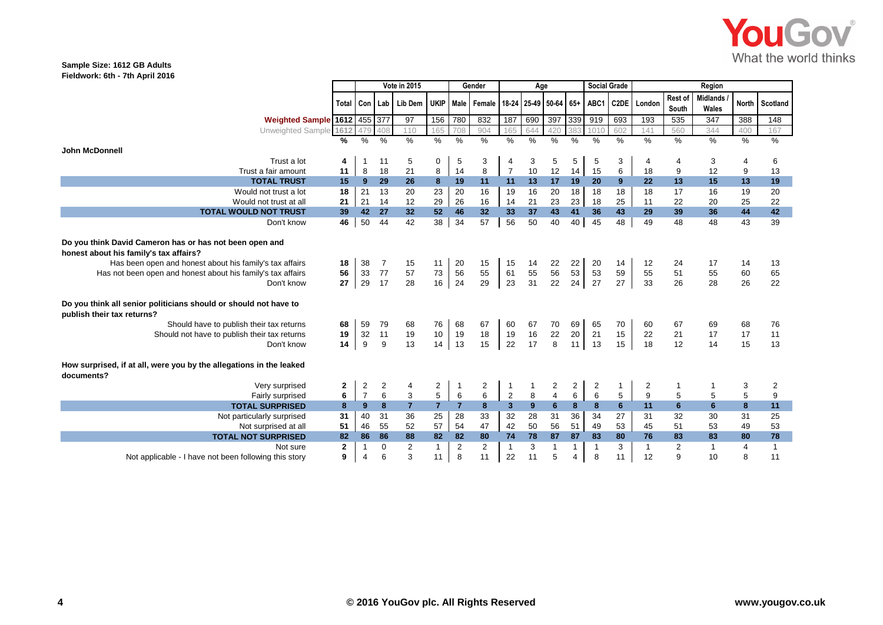

### **Sample Size: 1612 GB Adults Fieldwork: 6th - 7th April 2016**

|                                                                                                                                                                                                                                                                                                                                                                                         |                      | Vote in 2015<br>Gender |                         |                                                                                         | Age                     |                      |                         |                         | <b>Social Grade</b>  |                      | Region                         |                      |                      |                         |                         |                          |                      |                         |
|-----------------------------------------------------------------------------------------------------------------------------------------------------------------------------------------------------------------------------------------------------------------------------------------------------------------------------------------------------------------------------------------|----------------------|------------------------|-------------------------|-----------------------------------------------------------------------------------------|-------------------------|----------------------|-------------------------|-------------------------|----------------------|----------------------|--------------------------------|----------------------|----------------------|-------------------------|-------------------------|--------------------------|----------------------|-------------------------|
|                                                                                                                                                                                                                                                                                                                                                                                         |                      |                        |                         | Total   Con   Lab   Lib Dem   UKIP   Male   Female   18-24   25-49   50-64   65+   ABC1 |                         |                      |                         |                         |                      |                      |                                |                      |                      | C2DE London             | <b>Rest of</b><br>South | <b>Midlands</b><br>Wales | North I              | Scotland                |
| <b>Weighted Sample 1612 455 377</b>                                                                                                                                                                                                                                                                                                                                                     |                      |                        |                         | 97                                                                                      | 156                     | 780                  | 832                     | 187                     | 690                  | 397                  |                                | 339 919              | 693                  | 193                     | 535                     | 347                      | 388                  | 148                     |
| Unweighted Sample 1612                                                                                                                                                                                                                                                                                                                                                                  |                      | 479                    | 408                     | 110                                                                                     | 165                     | 708                  | 904                     | 165                     | 644                  | 420                  | 383                            | 1010                 | 602                  | 141                     | 560                     | 344                      | 400                  | 167                     |
|                                                                                                                                                                                                                                                                                                                                                                                         | %                    | $\%$                   | %                       | $\frac{0}{6}$                                                                           | $\%$                    | $\frac{9}{6}$        | $\%$                    | $\frac{9}{6}$           | $\%$                 | $\%$                 | %                              | $\frac{9}{6}$        | $\%$                 | $\%$                    | $\frac{0}{6}$           | $\frac{9}{6}$            | %                    | %                       |
| <b>John McDonnell</b>                                                                                                                                                                                                                                                                                                                                                                   |                      |                        |                         |                                                                                         |                         |                      |                         |                         |                      |                      |                                |                      |                      |                         |                         |                          |                      |                         |
| Trust a lot                                                                                                                                                                                                                                                                                                                                                                             | 4                    |                        | 11                      | 5                                                                                       | 0                       | 5                    | 3                       | 4                       | 3                    | 5                    | 5                              | 5                    | 3                    | $\overline{4}$          | 4                       | 3                        | 4                    | 6                       |
| Trust a fair amount                                                                                                                                                                                                                                                                                                                                                                     | 11                   | 8                      | 18                      | 21                                                                                      | 8                       | 14                   | 8                       | $\overline{7}$          | 10                   | 12                   | 14                             | 15                   | 6                    | 18                      | 9                       | 12                       | 9                    | 13                      |
| <b>TOTAL TRUST</b>                                                                                                                                                                                                                                                                                                                                                                      | 15                   | 9                      | 29                      | 26                                                                                      | 8                       | 19                   | 11                      | 11                      | 13                   | 17                   | 19                             | 20                   | 9                    | 22                      | 13                      | 15                       | 13                   | 19                      |
| Would not trust a lot                                                                                                                                                                                                                                                                                                                                                                   | 18                   | 21                     | 13                      | 20                                                                                      | 23                      | 20                   | 16                      | 19                      | 16                   | 20                   | 18                             | 18                   | 18                   | 18                      | 17                      | 16                       | 19                   | 20                      |
| Would not trust at all                                                                                                                                                                                                                                                                                                                                                                  | 21                   | 21                     | 14                      | 12                                                                                      | 29                      | 26                   | 16                      | 14                      | 21                   | 23                   | 23                             | 18                   | 25                   | 11                      | 22                      | 20                       | 25                   | 22                      |
| <b>TOTAL WOULD NOT TRUST</b>                                                                                                                                                                                                                                                                                                                                                            | 39                   | 42                     | 27                      | 32 <sub>2</sub>                                                                         | 52                      | 46                   | 32                      | 33                      | 37                   | 43                   | 41                             | 36                   | 43                   | 29                      | 39                      | 36                       | 44                   | 42                      |
| Don't know                                                                                                                                                                                                                                                                                                                                                                              | 46                   | 50                     | 44                      | 42                                                                                      | 38                      | 34                   | 57                      | 56                      | 50                   | 40                   | 40                             | 45                   | 48                   | 49                      | 48                      | 48                       | 43                   | 39                      |
| Do you think David Cameron has or has not been open and<br>honest about his family's tax affairs?<br>Has been open and honest about his family's tax affairs<br>Has not been open and honest about his family's tax affairs<br>Don't know<br>Do you think all senior politicians should or should not have to<br>publish their tax returns?<br>Should have to publish their tax returns | 18<br>56<br>27<br>68 | 38<br>33<br>29<br>59   | 7<br>77<br>17<br>79     | 15<br>57<br>28<br>68                                                                    | 11<br>73<br>16<br>76    | 20<br>56<br>24<br>68 | 15<br>55<br>29<br>67    | 15<br>61<br>23<br>60    | 14<br>55<br>31<br>67 | 22<br>56<br>22<br>70 | 22<br>53<br>24<br>69           | 20<br>53<br>27<br>65 | 14<br>59<br>27<br>70 | 12<br>55<br>33<br>60    | 24<br>51<br>26<br>67    | 17<br>55<br>28<br>69     | 14<br>60<br>26<br>68 | 13<br>65<br>22<br>76    |
| Should not have to publish their tax returns                                                                                                                                                                                                                                                                                                                                            | 19                   | 32                     | 11                      | 19                                                                                      | 10                      | 19                   | 18                      | 19                      | 16                   | 22                   | 20                             | 21                   | 15                   | 22                      | 21                      | 17                       | 17                   | 11                      |
| Don't know                                                                                                                                                                                                                                                                                                                                                                              | 14                   | 9                      | 9                       | 13                                                                                      | 14                      | 13                   | 15                      | 22                      | 17                   | 8                    | 11                             | 13                   | 15                   | 18                      | 12                      | 14                       | 15                   | 13                      |
| How surprised, if at all, were you by the allegations in the leaked<br>documents?                                                                                                                                                                                                                                                                                                       |                      |                        |                         |                                                                                         |                         |                      |                         |                         |                      |                      |                                |                      |                      |                         |                         |                          |                      |                         |
| Very surprised                                                                                                                                                                                                                                                                                                                                                                          | 2                    | $\mathbf 2$            | $\overline{\mathbf{c}}$ | 4                                                                                       | $\overline{\mathbf{c}}$ |                      | $\overline{\mathbf{c}}$ | 1                       |                      | 2                    | $\overline{a}$                 | $\overline{c}$       |                      | $\overline{\mathbf{c}}$ |                         |                          | 3                    | $\overline{\mathbf{c}}$ |
| Fairly surprised                                                                                                                                                                                                                                                                                                                                                                        | 6                    | $\overline{7}$         | $6\phantom{1}$          | $\ensuremath{\mathsf{3}}$                                                               | 5                       | $6\phantom{1}6$      | 6                       | $\sqrt{2}$              | 8                    | $\overline{4}$       | 6                              | 6                    | 5                    | 9                       | 5                       | 5                        | 5                    | 9                       |
| <b>TOTAL SURPRISED</b>                                                                                                                                                                                                                                                                                                                                                                  | 8                    | 9                      | 8                       | $\overline{7}$                                                                          | $\overline{7}$          | $\overline{7}$       | 8                       | $\overline{\mathbf{3}}$ | 9                    | $6\phantom{a}$       | 8                              | 8                    | 6                    | 11                      | 6                       | 6                        | 8                    | 11                      |
| Not particularly surprised                                                                                                                                                                                                                                                                                                                                                              | 31                   | 40                     | 31                      | 36                                                                                      | 25                      | 28                   | 33                      | 32                      | 28                   | 31                   | 36                             | 34                   | 27                   | 31                      | 32                      | 30                       | 31                   | 25                      |
| Not surprised at all                                                                                                                                                                                                                                                                                                                                                                    | 51                   | 46                     | 55                      | 52                                                                                      | 57                      | 54                   | 47                      | 42                      | 50                   | 56<br>87             | 51                             | 49                   | 53                   | 45                      | 51                      | 53                       | 49                   | 53                      |
| <b>TOTAL NOT SURPRISED</b>                                                                                                                                                                                                                                                                                                                                                              | 82<br>$\mathbf{2}$   | 86<br>$\overline{1}$   | 86<br>0                 | 88<br>$\overline{2}$                                                                    | 82<br>$\mathbf{1}$      | 82<br>$\overline{2}$ | 80<br>$\overline{2}$    | 74<br>1                 | 78                   |                      | 87                             | 83                   | 80<br>3              | 76<br>$\mathbf{1}$      | 83<br>2                 | 83<br>$\mathbf{1}$       | 80<br>4              | 78<br>$\mathbf{1}$      |
| Not sure<br>Not applicable - I have not been following this story                                                                                                                                                                                                                                                                                                                       | 9                    | $\overline{4}$         | 6                       | 3                                                                                       | 11                      | 8                    | 11                      | 22                      | 3<br>11              | $\mathbf{1}$<br>5    | $\mathbf{1}$<br>$\overline{4}$ | 8                    | 11                   | 12                      | 9                       | 10                       | 8                    | 11                      |
|                                                                                                                                                                                                                                                                                                                                                                                         |                      |                        |                         |                                                                                         |                         |                      |                         |                         |                      |                      |                                |                      |                      |                         |                         |                          |                      |                         |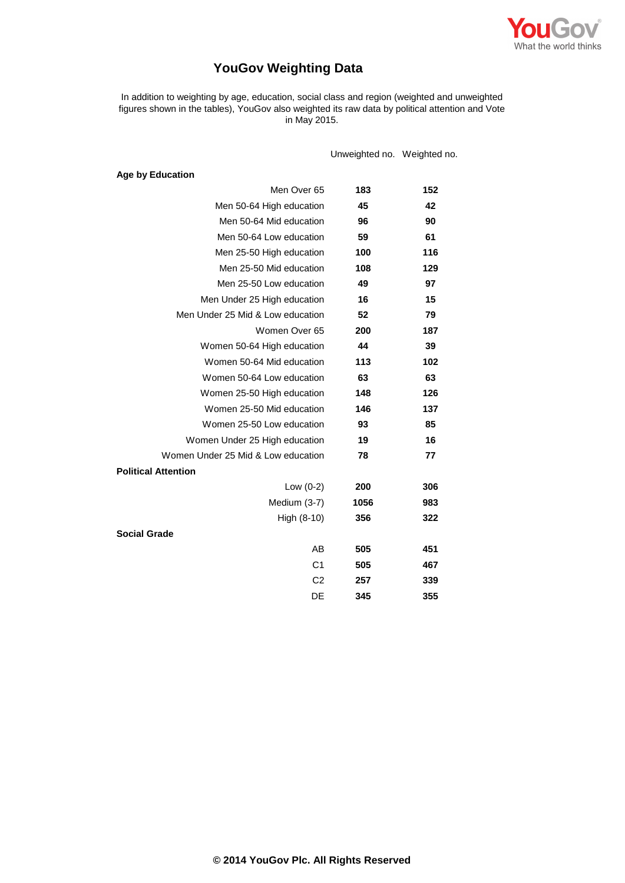

# **YouGov Weighting Data**

In addition to weighting by age, education, social class and region (weighted and unweighted figures shown in the tables), YouGov also weighted its raw data by political attention and Vote in May 2015.

Unweighted no. Weighted no.

| <b>Age by Education</b>            |      |     |
|------------------------------------|------|-----|
| Men Over 65                        | 183  | 152 |
| Men 50-64 High education           | 45   | 42  |
| Men 50-64 Mid education            | 96   | 90  |
| Men 50-64 Low education            | 59   | 61  |
| Men 25-50 High education           | 100  | 116 |
| Men 25-50 Mid education            | 108  | 129 |
| Men 25-50 Low education            | 49   | 97  |
| Men Under 25 High education        | 16   | 15  |
| Men Under 25 Mid & Low education   | 52   | 79  |
| Women Over 65                      | 200  | 187 |
| Women 50-64 High education         | 44   | 39  |
| Women 50-64 Mid education          | 113  | 102 |
| Women 50-64 Low education          | 63   | 63  |
| Women 25-50 High education         | 148  | 126 |
| Women 25-50 Mid education          | 146  | 137 |
| Women 25-50 Low education          | 93   | 85  |
| Women Under 25 High education      | 19   | 16  |
| Women Under 25 Mid & Low education | 78   | 77  |
| <b>Political Attention</b>         |      |     |
| Low $(0-2)$                        | 200  | 306 |
| Medium (3-7)                       | 1056 | 983 |
| High $(8-10)$                      | 356  | 322 |
| <b>Social Grade</b>                |      |     |
| AB                                 | 505  | 451 |
| C <sub>1</sub>                     | 505  | 467 |
| C <sub>2</sub>                     | 257  | 339 |
| DE                                 | 345  | 355 |